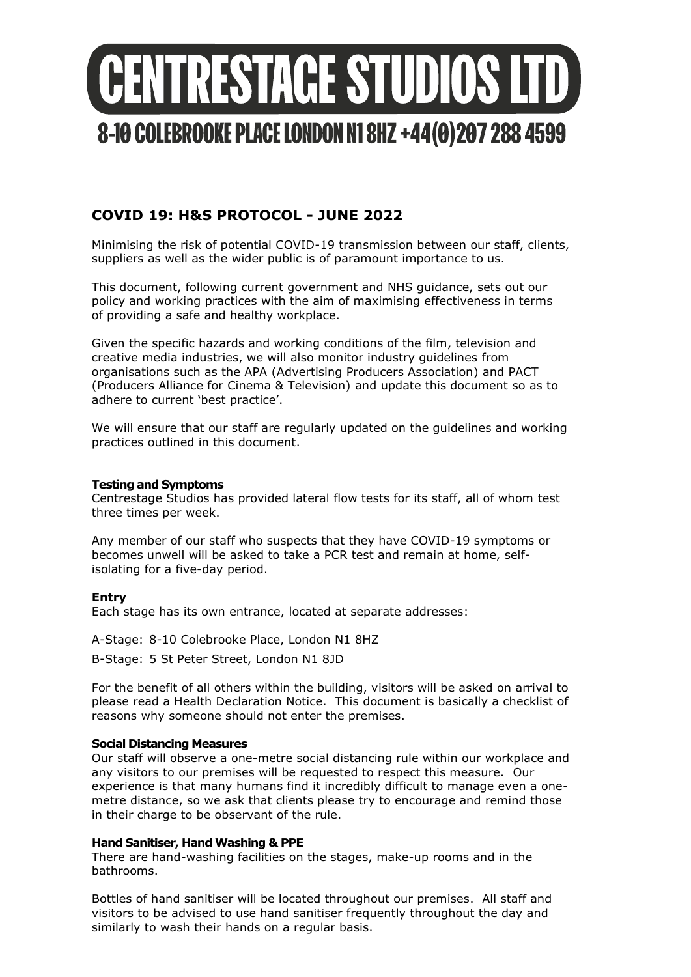

# **COVID 19: H&S PROTOCOL - JUNE 2022**

Minimising the risk of potential COVID-19 transmission between our staff, clients, suppliers as well as the wider public is of paramount importance to us.

This document, following current government and NHS guidance, sets out our policy and working practices with the aim of maximising effectiveness in terms of providing a safe and healthy workplace.

Given the specific hazards and working conditions of the film, television and creative media industries, we will also monitor industry guidelines from organisations such as the APA (Advertising Producers Association) and PACT (Producers Alliance for Cinema & Television) and update this document so as to adhere to current 'best practice'.

We will ensure that our staff are regularly updated on the guidelines and working practices outlined in this document.

## **Testing and Symptoms**

Centrestage Studios has provided lateral flow tests for its staff, all of whom test three times per week.

Any member of our staff who suspects that they have COVID-19 symptoms or becomes unwell will be asked to take a PCR test and remain at home, selfisolating for a five-day period.

# **Entry**

Each stage has its own entrance, located at separate addresses:

A-Stage: 8-10 Colebrooke Place, London N1 8HZ

B-Stage: 5 St Peter Street, London N1 8JD

For the benefit of all others within the building, visitors will be asked on arrival to please read a Health Declaration Notice. This document is basically a checklist of reasons why someone should not enter the premises.

# **Social Distancing Measures**

Our staff will observe a one-metre social distancing rule within our workplace and any visitors to our premises will be requested to respect this measure. Our experience is that many humans find it incredibly difficult to manage even a onemetre distance, so we ask that clients please try to encourage and remind those in their charge to be observant of the rule.

# **Hand Sanitiser, Hand Washing & PPE**

There are hand-washing facilities on the stages, make-up rooms and in the bathrooms.

Bottles of hand sanitiser will be located throughout our premises. All staff and visitors to be advised to use hand sanitiser frequently throughout the day and similarly to wash their hands on a regular basis.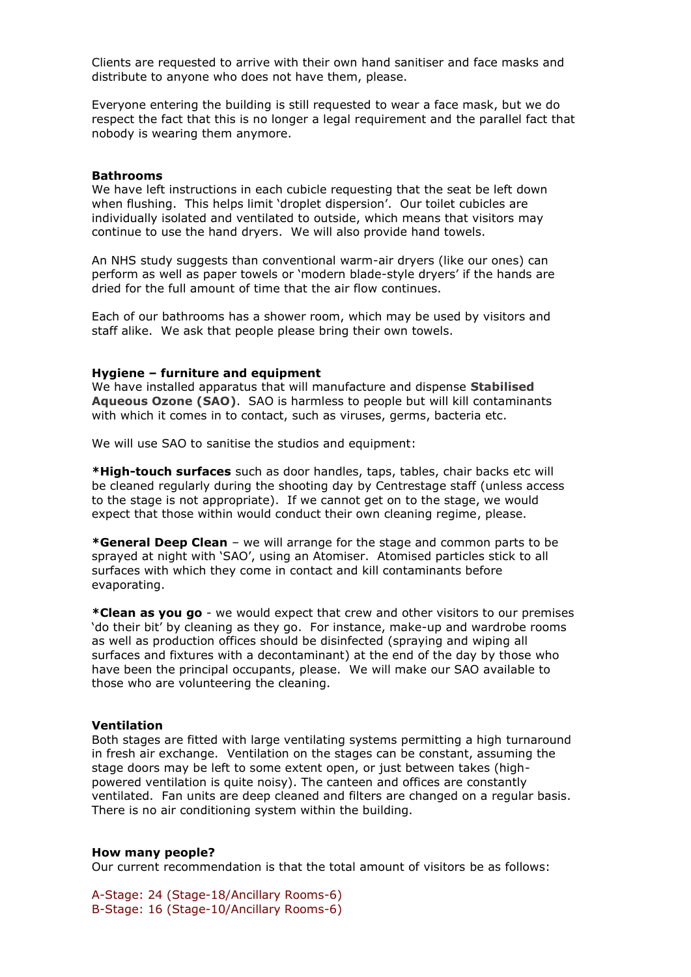Clients are requested to arrive with their own hand sanitiser and face masks and distribute to anyone who does not have them, please.

Everyone entering the building is still requested to wear a face mask, but we do respect the fact that this is no longer a legal requirement and the parallel fact that nobody is wearing them anymore.

#### **Bathrooms**

We have left instructions in each cubicle requesting that the seat be left down when flushing. This helps limit 'droplet dispersion'. Our toilet cubicles are individually isolated and ventilated to outside, which means that visitors may continue to use the hand dryers. We will also provide hand towels.

An NHS study suggests than conventional warm-air dryers (like our ones) can perform as well as paper towels or 'modern blade-style dryers' if the hands are dried for the full amount of time that the air flow continues.

Each of our bathrooms has a shower room, which may be used by visitors and staff alike. We ask that people please bring their own towels.

### **Hygiene – furniture and equipment**

We have installed apparatus that will manufacture and dispense **Stabilised Aqueous Ozone (SAO)**. SAO is harmless to people but will kill contaminants with which it comes in to contact, such as viruses, germs, bacteria etc.

We will use SAO to sanitise the studios and equipment:

**\*High-touch surfaces** such as door handles, taps, tables, chair backs etc will be cleaned regularly during the shooting day by Centrestage staff (unless access to the stage is not appropriate). If we cannot get on to the stage, we would expect that those within would conduct their own cleaning regime, please.

**\*General Deep Clean** – we will arrange for the stage and common parts to be sprayed at night with 'SAO', using an Atomiser. Atomised particles stick to all surfaces with which they come in contact and kill contaminants before evaporating.

**\*Clean as you go** - we would expect that crew and other visitors to our premises 'do their bit' by cleaning as they go. For instance, make-up and wardrobe rooms as well as production offices should be disinfected (spraying and wiping all surfaces and fixtures with a decontaminant) at the end of the day by those who have been the principal occupants, please. We will make our SAO available to those who are volunteering the cleaning.

#### **Ventilation**

Both stages are fitted with large ventilating systems permitting a high turnaround in fresh air exchange. Ventilation on the stages can be constant, assuming the stage doors may be left to some extent open, or just between takes (highpowered ventilation is quite noisy). The canteen and offices are constantly ventilated. Fan units are deep cleaned and filters are changed on a regular basis. There is no air conditioning system within the building.

#### **How many people?**

Our current recommendation is that the total amount of visitors be as follows:

A-Stage: 24 (Stage-18/Ancillary Rooms-6) B-Stage: 16 (Stage-10/Ancillary Rooms-6)